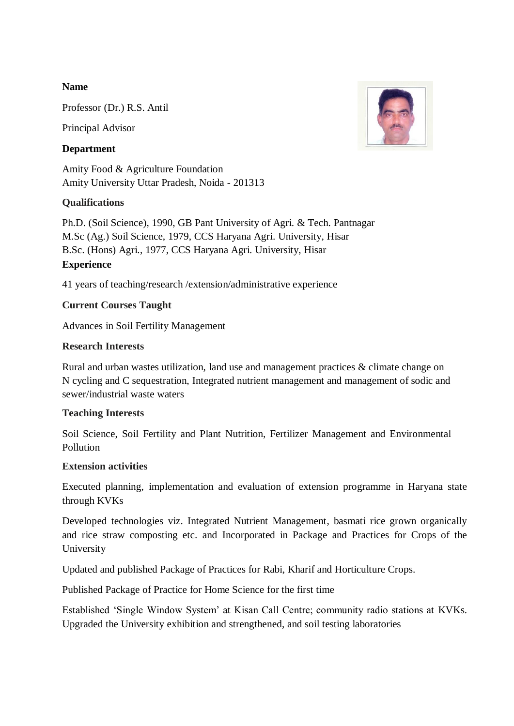# **Name**

Professor (Dr.) R.S. Antil

Principal Advisor

# **Department**

Amity Food & Agriculture Foundation Amity University Uttar Pradesh, Noida - 201313

# **Qualifications**

Ph.D. (Soil Science), 1990, GB Pant University of Agri. & Tech. Pantnagar M.Sc (Ag.) Soil Science, 1979, CCS Haryana Agri. University, Hisar B.Sc. (Hons) Agri., 1977, CCS Haryana Agri. University, Hisar **Experience** 

41 years of teaching/research /extension/administrative experience

# **Current Courses Taught**

Advances in Soil Fertility Management

## **Research Interests**

Rural and urban wastes utilization, land use and management practices & climate change on N cycling and C sequestration, Integrated nutrient management and management of sodic and sewer/industrial waste waters

#### **Teaching Interests**

Soil Science, Soil Fertility and Plant Nutrition, Fertilizer Management and Environmental Pollution

#### **Extension activities**

Executed planning, implementation and evaluation of extension programme in Haryana state through KVKs

Developed technologies viz. Integrated Nutrient Management, basmati rice grown organically and rice straw composting etc. and Incorporated in Package and Practices for Crops of the University

Updated and published Package of Practices for Rabi, Kharif and Horticulture Crops.

Published Package of Practice for Home Science for the first time

Established 'Single Window System' at Kisan Call Centre; community radio stations at KVKs. Upgraded the University exhibition and strengthened, and soil testing laboratories

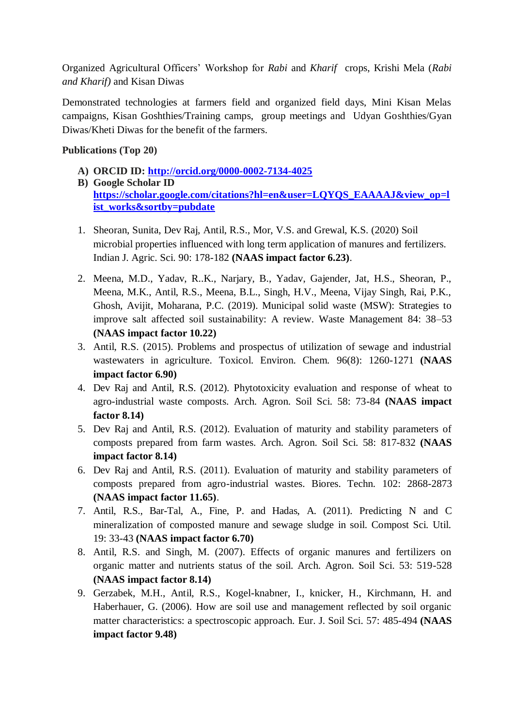Organized Agricultural Officers' Workshop for *Rabi* and *Kharif* crops, Krishi Mela (*Rabi and Kharif)* and Kisan Diwas

Demonstrated technologies at farmers field and organized field days, Mini Kisan Melas campaigns, Kisan Goshthies/Training camps, group meetings and Udyan Goshthies/Gyan Diwas/Kheti Diwas for the benefit of the farmers.

# **Publications (Top 20)**

- **A) ORCID ID:<http://orcid.org/0000-0002-7134-4025>**
- **B) Google Scholar ID [https://scholar.google.com/citations?hl=en&user=LQYQS\\_EAAAAJ&view\\_op=l](https://scholar.google.com/citations?hl=en&user=LQYQS_EAAAAJ&view_op=list_works&sortby=pubdate) [ist\\_works&sortby=pubdate](https://scholar.google.com/citations?hl=en&user=LQYQS_EAAAAJ&view_op=list_works&sortby=pubdate)**
- 1. Sheoran, Sunita, Dev Raj, Antil, R.S., Mor, V.S. and Grewal, K.S. (2020) Soil microbial properties influenced with long term application of manures and fertilizers. Indian J. Agric. Sci. 90: 178-182 **(NAAS impact factor 6.23)**.
- 2. Meena, M.D., Yadav, R..K., Narjary, B., Yadav, Gajender, Jat, H.S., Sheoran, P., Meena, M.K., Antil, R.S., Meena, B.L., Singh, H.V., Meena, Vijay Singh, Rai, P.K., Ghosh, Avijit, Moharana, P.C. (2019). Municipal solid waste (MSW): Strategies to improve salt affected soil sustainability: A review. Waste Management 84: 38–53 **(NAAS impact factor 10.22)**
- 3. Antil, R.S. (2015). Problems and prospectus of utilization of sewage and industrial wastewaters in agriculture. Toxicol. Environ. Chem. 96(8): 1260-1271 **(NAAS impact factor 6.90)**
- 4. Dev Raj and Antil, R.S. (2012). Phytotoxicity evaluation and response of wheat to agro-industrial waste composts. Arch. Agron. Soil Sci. 58: 73-84 **(NAAS impact factor 8.14)**
- 5. Dev Raj and Antil, R.S. (2012). Evaluation of maturity and stability parameters of composts prepared from farm wastes. Arch. Agron. Soil Sci. 58: 817-832 **(NAAS impact factor 8.14)**
- 6. Dev Raj and Antil, R.S. (2011). Evaluation of maturity and stability parameters of composts prepared from agro-industrial wastes. Biores. Techn. 102: 2868-2873 **(NAAS impact factor 11.65)**.
- 7. Antil, R.S., Bar-Tal, A., Fine, P. and Hadas, A. (2011). Predicting N and C mineralization of composted manure and sewage sludge in soil. Compost Sci. Util. 19: 33-43 **(NAAS impact factor 6.70)**
- 8. Antil, R.S. and Singh, M. (2007). Effects of organic manures and fertilizers on organic matter and nutrients status of the soil. Arch. Agron. Soil Sci. 53: 519-528 **(NAAS impact factor 8.14)**
- 9. Gerzabek, M.H., Antil, R.S., Kogel-knabner, I., knicker, H., Kirchmann, H. and Haberhauer, G. (2006). How are soil use and management reflected by soil organic matter characteristics: a spectroscopic approach. Eur. J. Soil Sci. 57: 485-494 **(NAAS impact factor 9.48)**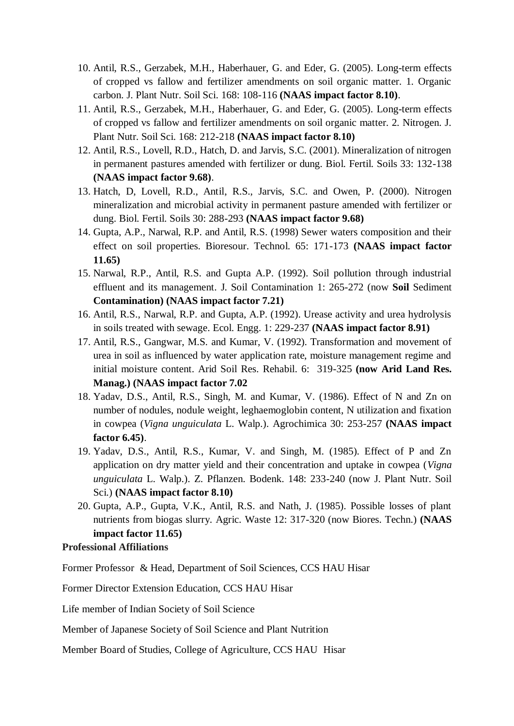- 10. Antil, R.S., Gerzabek, M.H., Haberhauer, G. and Eder, G. (2005). Long-term effects of cropped vs fallow and fertilizer amendments on soil organic matter. 1. Organic carbon. J. Plant Nutr. Soil Sci. 168: 108-116 **(NAAS impact factor 8.10)**.
- 11. Antil, R.S., Gerzabek, M.H., Haberhauer, G. and Eder, G. (2005). Long-term effects of cropped vs fallow and fertilizer amendments on soil organic matter. 2. Nitrogen. J. Plant Nutr. Soil Sci. 168: 212-218 **(NAAS impact factor 8.10)**
- 12. Antil, R.S., Lovell, R.D., Hatch, D. and Jarvis, S.C. (2001). Mineralization of nitrogen in permanent pastures amended with fertilizer or dung. Biol. Fertil. Soils 33: 132-138 **(NAAS impact factor 9.68)**.
- 13. Hatch, D, Lovell, R.D., Antil, R.S., Jarvis, S.C. and Owen, P. (2000). Nitrogen mineralization and microbial activity in permanent pasture amended with fertilizer or dung. Biol. Fertil. Soils 30: 288-293 **(NAAS impact factor 9.68)**
- 14. Gupta, A.P., Narwal, R.P. and Antil, R.S. (1998) Sewer waters composition and their effect on soil properties. Bioresour. Technol. 65: 171-173 **(NAAS impact factor 11.65)**
- 15. Narwal, R.P., Antil, R.S. and Gupta A.P. (1992). Soil pollution through industrial effluent and its management. J. Soil Contamination 1: 265-272 (now **Soil** Sediment **Contamination) (NAAS impact factor 7.21)**
- 16. Antil, R.S., Narwal, R.P. and Gupta, A.P. (1992). Urease activity and urea hydrolysis in soils treated with sewage. Ecol. Engg. 1: 229-237 **(NAAS impact factor 8.91)**
- 17. Antil, R.S., Gangwar, M.S. and Kumar, V. (1992). Transformation and movement of urea in soil as influenced by water application rate, moisture management regime and initial moisture content. Arid Soil Res. Rehabil. 6: 319-325 **(now Arid Land Res. Manag.) (NAAS impact factor 7.02**
- 18. Yadav, D.S., Antil, R.S., Singh, M. and Kumar, V. (1986). Effect of N and Zn on number of nodules, nodule weight, leghaemoglobin content, N utilization and fixation in cowpea (*Vigna unguiculata* L. Walp.). Agrochimica 30: 253-257 **(NAAS impact factor 6.45)**.
- 19. Yadav, D.S., Antil, R.S., Kumar, V. and Singh, M. (1985). Effect of P and Zn application on dry matter yield and their concentration and uptake in cowpea (*Vigna unguiculata* L. Walp.). Z. Pflanzen. Bodenk. 148: 233-240 (now J. Plant Nutr. Soil Sci.) **(NAAS impact factor 8.10)**
- 20. Gupta, A.P., Gupta, V.K., Antil, R.S. and Nath, J. (1985). Possible losses of plant nutrients from biogas slurry. Agric. Waste 12: 317-320 (now Biores. Techn.) **(NAAS impact factor 11.65)**

## **Professional Affiliations**

Former Professor & Head, Department of Soil Sciences, CCS HAU Hisar

Former Director Extension Education, CCS HAU Hisar

Life member of Indian Society of Soil Science

Member of Japanese Society of Soil Science and Plant Nutrition

Member Board of Studies, College of Agriculture, CCS HAU Hisar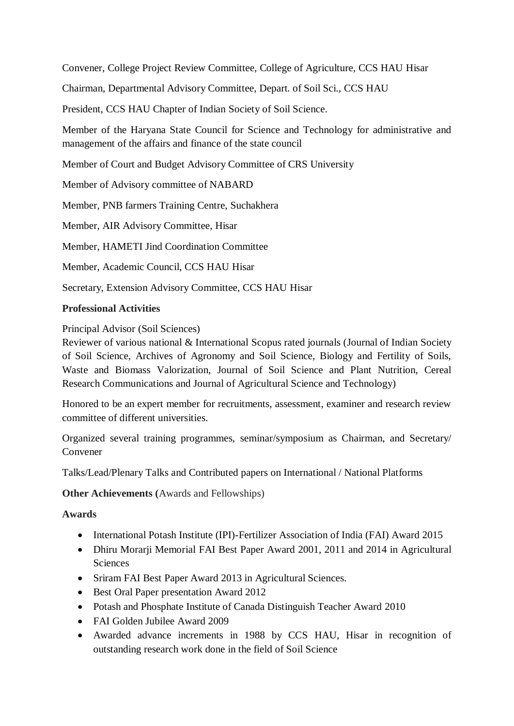Convener, College Project Review Committee, College of Agriculture, CCS HAU Hisar

Chairman, Departmental Advisory Committee, Depart. of Soil Sci., CCS HAU

President, CCS HAU Chapter of Indian Society of Soil Science.

Member of the Haryana State Council for Science and Technology for administrative and management of the affairs and finance of the state council

Member of Court and Budget Advisory Committee of CRS University

Member of Advisory committee of NABARD

Member, PNB farmers Training Centre, Suchakhera

Member, AIR Advisory Committee, Hisar

Member, HAMETI Jind Coordination Committee

Member, Academic Council, CCS HAU Hisar

Secretary, Extension Advisory Committee, CCS HAU Hisar

## **Professional Activities**

Principal Advisor (Soil Sciences)

Reviewer of various national & International Scopus rated journals (Journal of Indian Society of Soil Science, Archives of Agronomy and Soil Science, Biology and Fertility of Soils, Waste and Biomass Valorization, Journal of Soil Science and Plant Nutrition, Cereal Research Communications and Journal of Agricultural Science and Technology)

Honored to be an expert member for recruitments, assessment, examiner and research review committee of different universities.

Organized several training programmes, seminar/symposium as Chairman, and Secretary/ Convener

Talks/Lead/Plenary Talks and Contributed papers on International / National Platforms

**Other Achievements (**Awards and Fellowships)

**Awards**

- International Potash Institute (IPI)-Fertilizer Association of India (FAI) Award 2015
- Dhiru Morarji Memorial FAI Best Paper Award 2001, 2011 and 2014 in Agricultural **Sciences**
- Sriram FAI Best Paper Award 2013 in Agricultural Sciences.
- Best Oral Paper presentation Award 2012
- Potash and Phosphate Institute of Canada Distinguish Teacher Award 2010
- FAI Golden Jubilee Award 2009
- Awarded advance increments in 1988 by CCS HAU, Hisar in recognition of outstanding research work done in the field of Soil Science